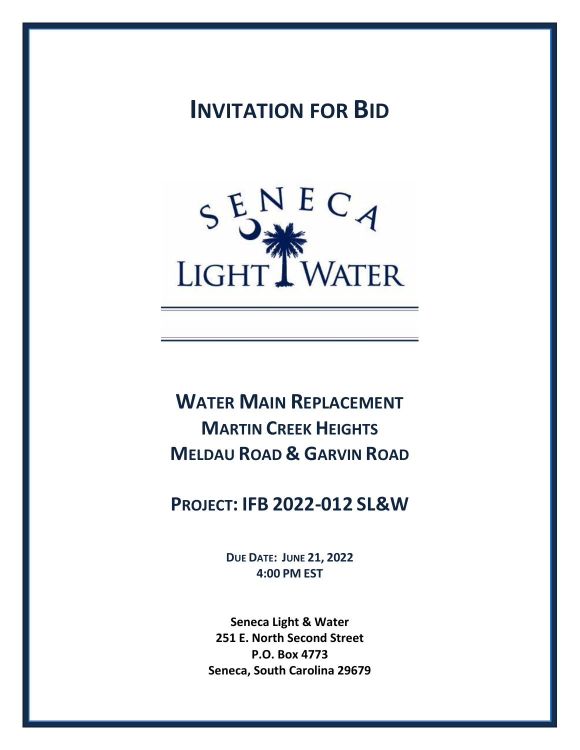# **INVITATION FOR BID**



**WATER MAIN REPLACEMENT MARTIN CREEK HEIGHTS MELDAU ROAD & GARVIN ROAD**

# **PROJECT: IFB 2022-012 SL&W**

**DUE DATE: JUNE 21, 2022 4:00 PM EST**

**Seneca Light & Water 251 E. North Second Street P.O. Box 4773 Seneca, South Carolina 29679**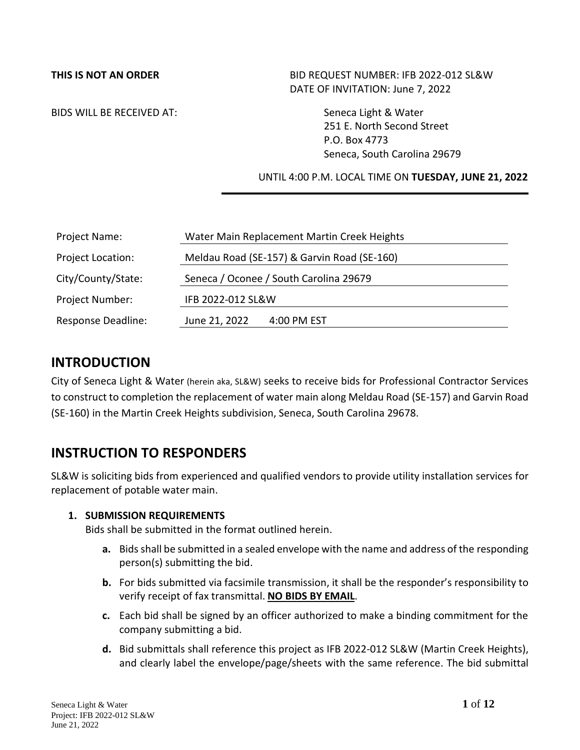#### **THIS IS NOT AN ORDER** BID REQUEST NUMBER: IFB 2022-012 SL&W DATE OF INVITATION: June 7, 2022

BIDS WILL BE RECEIVED AT: Seneca Light & Water

251 E. North Second Street P.O. Box 4773 Seneca, South Carolina 29679

UNTIL 4:00 P.M. LOCAL TIME ON **TUESDAY, JUNE 21, 2022**

| Project Name:      | Water Main Replacement Martin Creek Heights |  |  |
|--------------------|---------------------------------------------|--|--|
| Project Location:  | Meldau Road (SE-157) & Garvin Road (SE-160) |  |  |
| City/County/State: | Seneca / Oconee / South Carolina 29679      |  |  |
| Project Number:    | IFB 2022-012 SL&W                           |  |  |
| Response Deadline: | June 21, 2022<br>4:00 PM EST                |  |  |

#### **INTRODUCTION**

City of Seneca Light & Water (herein aka, SL&W) seeks to receive bids for Professional Contractor Services to construct to completion the replacement of water main along Meldau Road (SE-157) and Garvin Road (SE-160) in the Martin Creek Heights subdivision, Seneca, South Carolina 29678.

## **INSTRUCTION TO RESPONDERS**

SL&W is soliciting bids from experienced and qualified vendors to provide utility installation services for replacement of potable water main.

#### **1. SUBMISSION REQUIREMENTS**

Bids shall be submitted in the format outlined herein.

- **a.** Bids shall be submitted in a sealed envelope with the name and address of the responding person(s) submitting the bid.
- **b.** For bids submitted via facsimile transmission, it shall be the responder's responsibility to verify receipt of fax transmittal. **NO BIDS BY EMAIL**.
- **c.** Each bid shall be signed by an officer authorized to make a binding commitment for the company submitting a bid.
- **d.** Bid submittals shall reference this project as IFB 2022-012 SL&W (Martin Creek Heights), and clearly label the envelope/page/sheets with the same reference. The bid submittal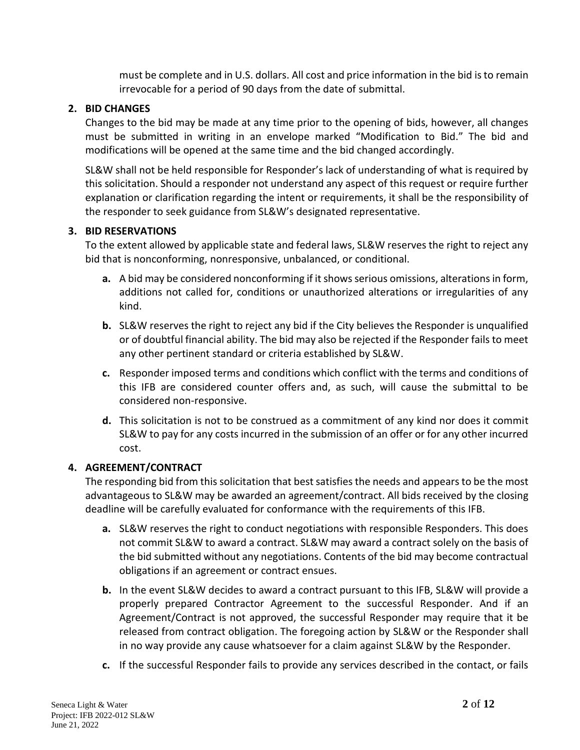must be complete and in U.S. dollars. All cost and price information in the bid is to remain irrevocable for a period of 90 days from the date of submittal.

#### **2. BID CHANGES**

Changes to the bid may be made at any time prior to the opening of bids, however, all changes must be submitted in writing in an envelope marked "Modification to Bid." The bid and modifications will be opened at the same time and the bid changed accordingly.

SL&W shall not be held responsible for Responder's lack of understanding of what is required by this solicitation. Should a responder not understand any aspect of this request or require further explanation or clarification regarding the intent or requirements, it shall be the responsibility of the responder to seek guidance from SL&W's designated representative.

#### **3. BID RESERVATIONS**

To the extent allowed by applicable state and federal laws, SL&W reserves the right to reject any bid that is nonconforming, nonresponsive, unbalanced, or conditional.

- **a.** A bid may be considered nonconforming if it shows serious omissions, alterations in form, additions not called for, conditions or unauthorized alterations or irregularities of any kind.
- **b.** SL&W reserves the right to reject any bid if the City believes the Responder is unqualified or of doubtful financial ability. The bid may also be rejected if the Responder fails to meet any other pertinent standard or criteria established by SL&W.
- **c.** Responder imposed terms and conditions which conflict with the terms and conditions of this IFB are considered counter offers and, as such, will cause the submittal to be considered non-responsive.
- **d.** This solicitation is not to be construed as a commitment of any kind nor does it commit SL&W to pay for any costs incurred in the submission of an offer or for any other incurred cost.

#### **4. AGREEMENT/CONTRACT**

The responding bid from this solicitation that best satisfies the needs and appears to be the most advantageous to SL&W may be awarded an agreement/contract. All bids received by the closing deadline will be carefully evaluated for conformance with the requirements of this IFB.

- **a.** SL&W reserves the right to conduct negotiations with responsible Responders. This does not commit SL&W to award a contract. SL&W may award a contract solely on the basis of the bid submitted without any negotiations. Contents of the bid may become contractual obligations if an agreement or contract ensues.
- **b.** In the event SL&W decides to award a contract pursuant to this IFB, SL&W will provide a properly prepared Contractor Agreement to the successful Responder. And if an Agreement/Contract is not approved, the successful Responder may require that it be released from contract obligation. The foregoing action by SL&W or the Responder shall in no way provide any cause whatsoever for a claim against SL&W by the Responder.
- **c.** If the successful Responder fails to provide any services described in the contact, or fails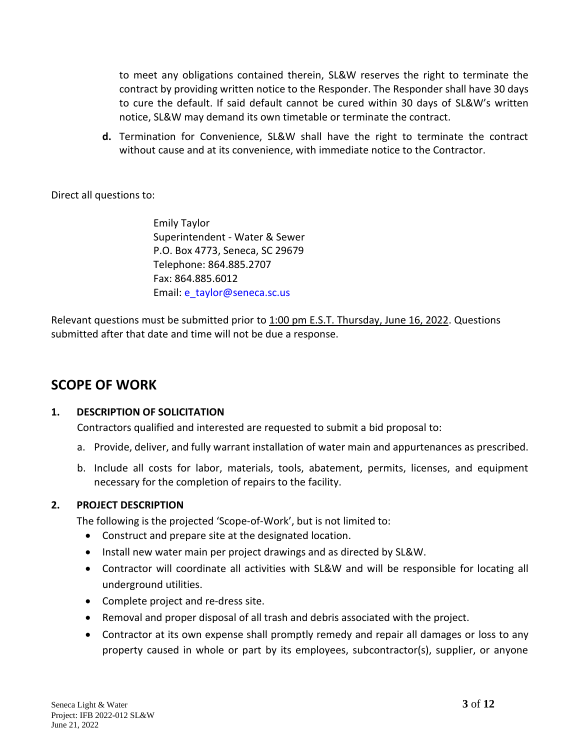to meet any obligations contained therein, SL&W reserves the right to terminate the contract by providing written notice to the Responder. The Responder shall have 30 days to cure the default. If said default cannot be cured within 30 days of SL&W's written notice, SL&W may demand its own timetable or terminate the contract.

**d.** Termination for Convenience, SL&W shall have the right to terminate the contract without cause and at its convenience, with immediate notice to the Contractor.

Direct all questions to:

Emily Taylor Superintendent - Water & Sewer P.O. Box 4773, Seneca, SC 29679 Telephone: 864.885.2707 Fax: 864.885.6012 Email: [e\\_taylor@seneca.sc.us](mailto:e_taylor@seneca.sc.us)

Relevant questions must be submitted prior to 1:00 pm E.S.T. Thursday, June 16, 2022. Questions submitted after that date and time will not be due a response.

# **SCOPE OF WORK**

#### **1. DESCRIPTION OF SOLICITATION**

Contractors qualified and interested are requested to submit a bid proposal to:

- a. Provide, deliver, and fully warrant installation of water main and appurtenances as prescribed.
- b. Include all costs for labor, materials, tools, abatement, permits, licenses, and equipment necessary for the completion of repairs to the facility.

#### **2. PROJECT DESCRIPTION**

The following is the projected 'Scope-of-Work', but is not limited to:

- Construct and prepare site at the designated location.
- Install new water main per project drawings and as directed by SL&W.
- Contractor will coordinate all activities with SL&W and will be responsible for locating all underground utilities.
- Complete project and re-dress site.
- Removal and proper disposal of all trash and debris associated with the project.
- Contractor at its own expense shall promptly remedy and repair all damages or loss to any property caused in whole or part by its employees, subcontractor(s), supplier, or anyone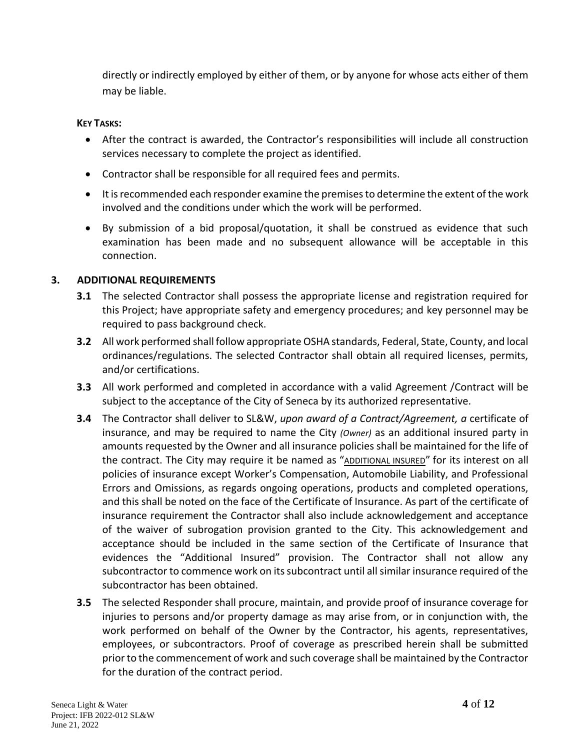directly or indirectly employed by either of them, or by anyone for whose acts either of them may be liable.

#### **KEY TASKS:**

- After the contract is awarded, the Contractor's responsibilities will include all construction services necessary to complete the project as identified.
- Contractor shall be responsible for all required fees and permits.
- It is recommended each responder examine the premises to determine the extent of the work involved and the conditions under which the work will be performed.
- By submission of a bid proposal/quotation, it shall be construed as evidence that such examination has been made and no subsequent allowance will be acceptable in this connection.

#### **3. ADDITIONAL REQUIREMENTS**

- **3.1** The selected Contractor shall possess the appropriate license and registration required for this Project; have appropriate safety and emergency procedures; and key personnel may be required to pass background check.
- **3.2** All work performed shall follow appropriate OSHA standards, Federal, State, County, and local ordinances/regulations. The selected Contractor shall obtain all required licenses, permits, and/or certifications.
- **3.3** All work performed and completed in accordance with a valid Agreement /Contract will be subject to the acceptance of the City of Seneca by its authorized representative.
- **3.4** The Contractor shall deliver to SL&W, *upon award of a Contract/Agreement, a* certificate of insurance, and may be required to name the City *(Owner)* as an additional insured party in amounts requested by the Owner and all insurance policies shall be maintained for the life of the contract. The City may require it be named as "ADDITIONAL INSURED" for its interest on all policies of insurance except Worker's Compensation, Automobile Liability, and Professional Errors and Omissions, as regards ongoing operations, products and completed operations, and this shall be noted on the face of the Certificate of Insurance. As part of the certificate of insurance requirement the Contractor shall also include acknowledgement and acceptance of the waiver of subrogation provision granted to the City. This acknowledgement and acceptance should be included in the same section of the Certificate of Insurance that evidences the "Additional Insured" provision. The Contractor shall not allow any subcontractor to commence work on its subcontract until all similar insurance required of the subcontractor has been obtained.
- **3.5** The selected Responder shall procure, maintain, and provide proof of insurance coverage for injuries to persons and/or property damage as may arise from, or in conjunction with, the work performed on behalf of the Owner by the Contractor, his agents, representatives, employees, or subcontractors. Proof of coverage as prescribed herein shall be submitted prior to the commencement of work and such coverage shall be maintained by the Contractor for the duration of the contract period.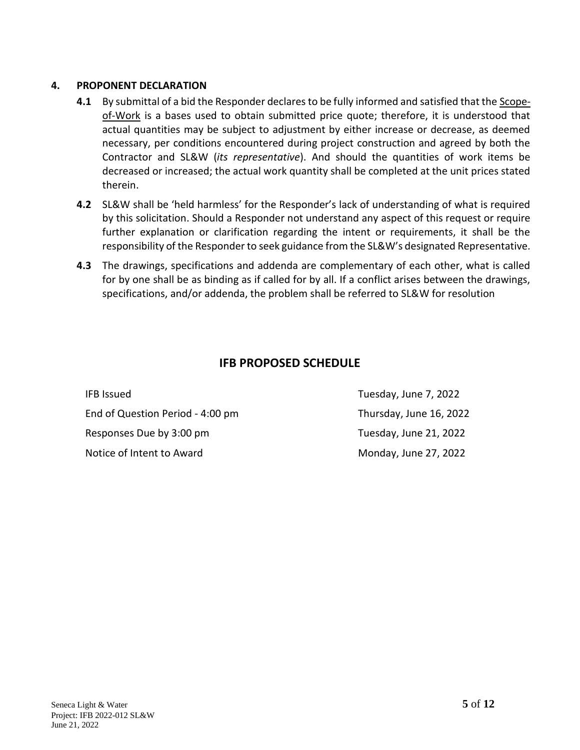#### **4. PROPONENT DECLARATION**

- **4.1** By submittal of a bid the Responder declares to be fully informed and satisfied that the Scopeof-Work is a bases used to obtain submitted price quote; therefore, it is understood that actual quantities may be subject to adjustment by either increase or decrease, as deemed necessary, per conditions encountered during project construction and agreed by both the Contractor and SL&W (*its representative*). And should the quantities of work items be decreased or increased; the actual work quantity shall be completed at the unit prices stated therein.
- **4.2** SL&W shall be 'held harmless' for the Responder's lack of understanding of what is required by this solicitation. Should a Responder not understand any aspect of this request or require further explanation or clarification regarding the intent or requirements, it shall be the responsibility of the Responder to seek guidance from the SL&W's designated Representative.
- **4.3** The drawings, specifications and addenda are complementary of each other, what is called for by one shall be as binding as if called for by all. If a conflict arises between the drawings, specifications, and/or addenda, the problem shall be referred to SL&W for resolution

#### **IFB PROPOSED SCHEDULE**

| <b>IFB</b> Issued                | Tuesday, June 7, 2022   |
|----------------------------------|-------------------------|
| End of Question Period - 4:00 pm | Thursday, June 16, 2022 |
| Responses Due by 3:00 pm         | Tuesday, June 21, 2022  |
| Notice of Intent to Award        | Monday, June 27, 2022   |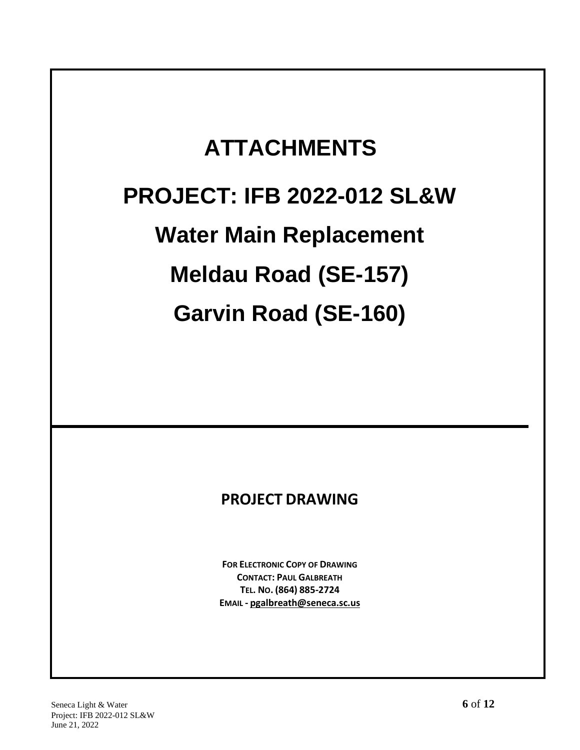# **ATTACHMENTS PROJECT: IFB 2022-012 SL&W Water Main Replacement Meldau Road (SE-157) Garvin Road (SE-160)**

# **PROJECT DRAWING**

**FOR ELECTRONIC COPY OF DRAWING CONTACT: PAUL GALBREATH TEL. NO. (864) 885-2724 EMAIL - pgalbreath@seneca.sc.us**

Seneca Light & Water **6** of **12** Project: IFB 2022-012 SL&W June 21, 2022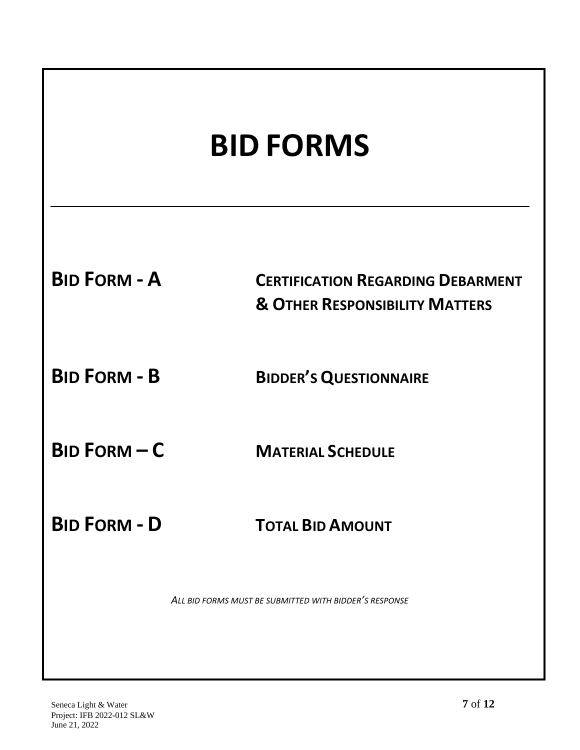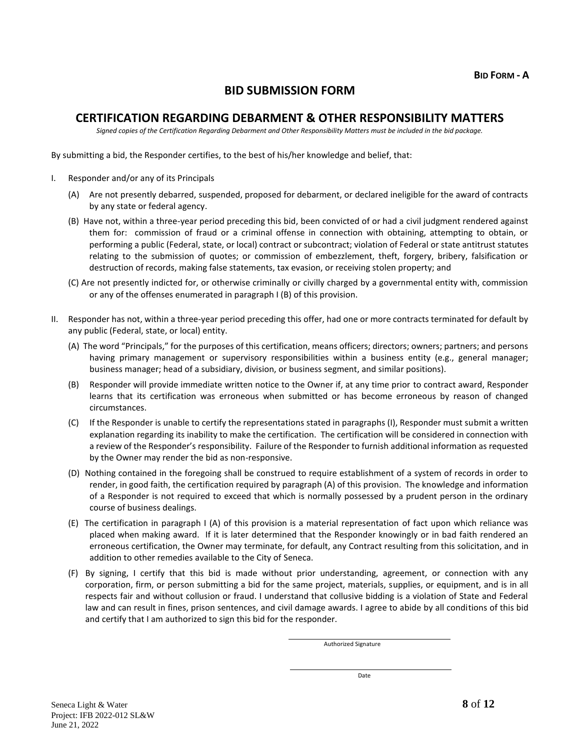#### **BID SUBMISSION FORM**

#### **CERTIFICATION REGARDING DEBARMENT & OTHER RESPONSIBILITY MATTERS**

*Signed copies of the Certification Regarding Debarment and Other Responsibility Matters must be included in the bid package.*

By submitting a bid, the Responder certifies, to the best of his/her knowledge and belief, that:

- I. Responder and/or any of its Principals
	- (A) Are not presently debarred, suspended, proposed for debarment, or declared ineligible for the award of contracts by any state or federal agency.
	- (B) Have not, within a three-year period preceding this bid, been convicted of or had a civil judgment rendered against them for: commission of fraud or a criminal offense in connection with obtaining, attempting to obtain, or performing a public (Federal, state, or local) contract or subcontract; violation of Federal or state antitrust statutes relating to the submission of quotes; or commission of embezzlement, theft, forgery, bribery, falsification or destruction of records, making false statements, tax evasion, or receiving stolen property; and
	- (C) Are not presently indicted for, or otherwise criminally or civilly charged by a governmental entity with, commission or any of the offenses enumerated in paragraph I (B) of this provision.
- II. Responder has not, within a three-year period preceding this offer, had one or more contracts terminated for default by any public (Federal, state, or local) entity.
	- (A) The word "Principals," for the purposes of this certification, means officers; directors; owners; partners; and persons having primary management or supervisory responsibilities within a business entity (e.g., general manager; business manager; head of a subsidiary, division, or business segment, and similar positions).
	- (B) Responder will provide immediate written notice to the Owner if, at any time prior to contract award, Responder learns that its certification was erroneous when submitted or has become erroneous by reason of changed circumstances.
	- (C) If the Responder is unable to certify the representations stated in paragraphs (I), Responder must submit a written explanation regarding its inability to make the certification. The certification will be considered in connection with a review of the Responder's responsibility. Failure of the Responder to furnish additional information as requested by the Owner may render the bid as non-responsive.
	- (D) Nothing contained in the foregoing shall be construed to require establishment of a system of records in order to render, in good faith, the certification required by paragraph (A) of this provision. The knowledge and information of a Responder is not required to exceed that which is normally possessed by a prudent person in the ordinary course of business dealings.
	- (E) The certification in paragraph I (A) of this provision is a material representation of fact upon which reliance was placed when making award. If it is later determined that the Responder knowingly or in bad faith rendered an erroneous certification, the Owner may terminate, for default, any Contract resulting from this solicitation, and in addition to other remedies available to the City of Seneca.
	- (F) By signing, I certify that this bid is made without prior understanding, agreement, or connection with any corporation, firm, or person submitting a bid for the same project, materials, supplies, or equipment, and is in all respects fair and without collusion or fraud. I understand that collusive bidding is a violation of State and Federal law and can result in fines, prison sentences, and civil damage awards. I agree to abide by all conditions of this bid and certify that I am authorized to sign this bid for the responder.

Authorized Signature

Date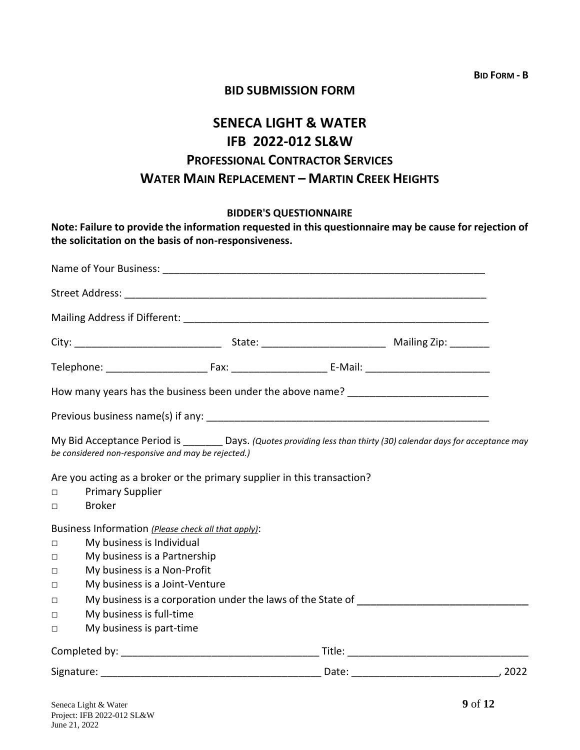**BID FORM - B**

#### **BID SUBMISSION FORM**

# **SENECA LIGHT & WATER IFB 2022-012 SL&W PROFESSIONAL CONTRACTOR SERVICES WATER MAIN REPLACEMENT – MARTIN CREEK HEIGHTS**

#### **BIDDER'S QUESTIONNAIRE**

**Note: Failure to provide the information requested in this questionnaire may be cause for rejection of the solicitation on the basis of non-responsiveness.**

|                                                          | How many years has the business been under the above name? ______________________                                                                                                                                                         |  |                                                                                                                     |  |
|----------------------------------------------------------|-------------------------------------------------------------------------------------------------------------------------------------------------------------------------------------------------------------------------------------------|--|---------------------------------------------------------------------------------------------------------------------|--|
|                                                          |                                                                                                                                                                                                                                           |  |                                                                                                                     |  |
|                                                          | be considered non-responsive and may be rejected.)                                                                                                                                                                                        |  | My Bid Acceptance Period is ________ Days. (Quotes providing less than thirty (30) calendar days for acceptance may |  |
| П<br>П                                                   | Are you acting as a broker or the primary supplier in this transaction?<br><b>Primary Supplier</b><br><b>Broker</b>                                                                                                                       |  |                                                                                                                     |  |
| $\Box$<br>$\Box$<br>$\Box$<br>$\Box$<br>$\Box$<br>□<br>П | Business Information (Please check all that apply):<br>My business is Individual<br>My business is a Partnership<br>My business is a Non-Profit<br>My business is a Joint-Venture<br>My business is full-time<br>My business is part-time |  | My business is a corporation under the laws of the State of <b>National Property of the State of</b>                |  |
|                                                          |                                                                                                                                                                                                                                           |  |                                                                                                                     |  |
|                                                          |                                                                                                                                                                                                                                           |  |                                                                                                                     |  |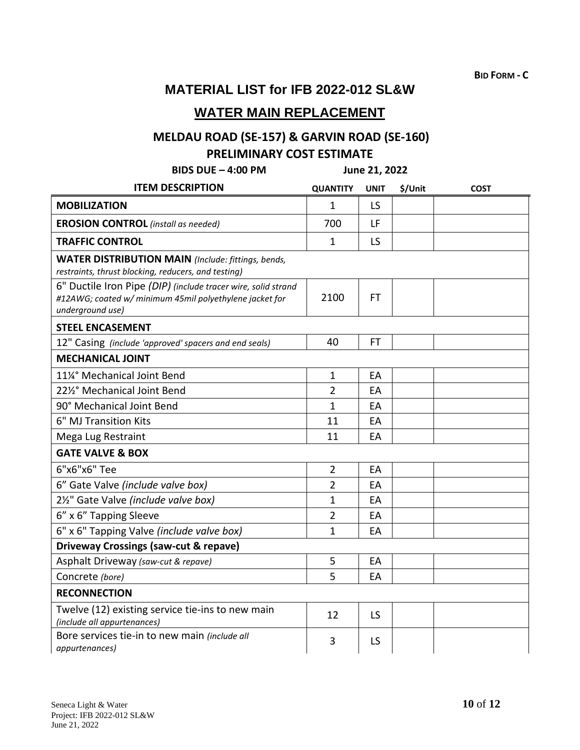### **MATERIAL LIST for IFB 2022-012 SL&W**

# **WATER MAIN REPLACEMENT**

# **MELDAU ROAD (SE-157) & GARVIN ROAD (SE-160) PRELIMINARY COST ESTIMATE**

**BIDS DUE – 4:00 PM June 21, 2022**

| <b>ITEM DESCRIPTION</b>                                                                                                                      | <b>QUANTITY</b> | <b>UNIT</b> | \$/Unit | <b>COST</b> |
|----------------------------------------------------------------------------------------------------------------------------------------------|-----------------|-------------|---------|-------------|
| <b>MOBILIZATION</b>                                                                                                                          | 1               | LS          |         |             |
| <b>EROSION CONTROL</b> (install as needed)                                                                                                   | 700             | LF          |         |             |
| <b>TRAFFIC CONTROL</b>                                                                                                                       | 1               | LS          |         |             |
| <b>WATER DISTRIBUTION MAIN</b> (Include: fittings, bends,<br>restraints, thrust blocking, reducers, and testing)                             |                 |             |         |             |
| 6" Ductile Iron Pipe (DIP) (include tracer wire, solid strand<br>#12AWG; coated w/ minimum 45mil polyethylene jacket for<br>underground use) | 2100            | <b>FT</b>   |         |             |
| <b>STEEL ENCASEMENT</b>                                                                                                                      |                 |             |         |             |
| 12" Casing (include 'approved' spacers and end seals)                                                                                        | 40              | FT          |         |             |
| <b>MECHANICAL JOINT</b>                                                                                                                      |                 |             |         |             |
| 11¼° Mechanical Joint Bend                                                                                                                   | $\mathbf 1$     | EA          |         |             |
| 221/2° Mechanical Joint Bend                                                                                                                 | $\overline{2}$  | EA          |         |             |
| 90° Mechanical Joint Bend                                                                                                                    | $\mathbf{1}$    | EA          |         |             |
| 6" MJ Transition Kits                                                                                                                        | 11              | EA          |         |             |
| Mega Lug Restraint                                                                                                                           | 11              | EA          |         |             |
| <b>GATE VALVE &amp; BOX</b>                                                                                                                  |                 |             |         |             |
| 6"x6"x6" Tee                                                                                                                                 | $\overline{2}$  | EA          |         |             |
| 6" Gate Valve (include valve box)                                                                                                            | $\overline{2}$  | EA          |         |             |
| 21/2" Gate Valve (include valve box)                                                                                                         | $\mathbf{1}$    | EA          |         |             |
| 6" x 6" Tapping Sleeve                                                                                                                       | $\overline{2}$  | EA          |         |             |
| 6" x 6" Tapping Valve (include valve box)                                                                                                    | $\mathbf{1}$    | EA          |         |             |
| <b>Driveway Crossings (saw-cut &amp; repave)</b>                                                                                             |                 |             |         |             |
| Asphalt Driveway (saw-cut & repave)                                                                                                          | 5               | EA          |         |             |
| Concrete (bore)                                                                                                                              | 5               | EA          |         |             |
| <b>RECONNECTION</b>                                                                                                                          |                 |             |         |             |
| Twelve (12) existing service tie-ins to new main<br>(include all appurtenances)                                                              | 12              | LS.         |         |             |
| Bore services tie-in to new main (include all<br>appurtenances)                                                                              | 3               | LS          |         |             |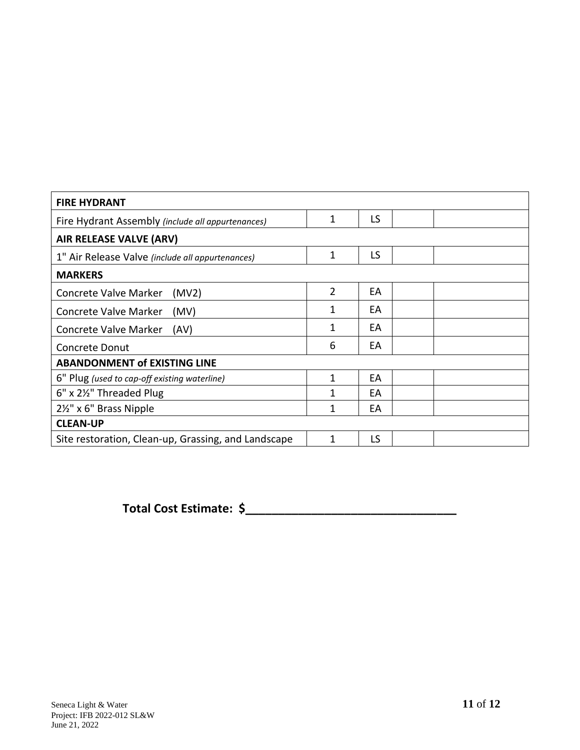| <b>FIRE HYDRANT</b>                                 |   |           |  |
|-----------------------------------------------------|---|-----------|--|
| Fire Hydrant Assembly (include all appurtenances)   | 1 | LS        |  |
| AIR RELEASE VALVE (ARV)                             |   |           |  |
| 1" Air Release Valve (include all appurtenances)    | 1 | LS        |  |
| <b>MARKERS</b>                                      |   |           |  |
| Concrete Valve Marker<br>(MV2)                      | 2 | EA        |  |
| Concrete Valve Marker<br>(MV)                       | 1 | EA        |  |
| Concrete Valve Marker<br>(AV)                       | 1 | EA        |  |
| Concrete Donut                                      | 6 | EA        |  |
| <b>ABANDONMENT of EXISTING LINE</b>                 |   |           |  |
| 6" Plug (used to cap-off existing waterline)        | 1 | EA        |  |
| 6" x 21%" Threaded Plug                             | 1 | EA        |  |
| $2\frac{1}{2}$ " x 6" Brass Nipple                  | 1 | EA        |  |
| <b>CLEAN-UP</b>                                     |   |           |  |
| Site restoration, Clean-up, Grassing, and Landscape | 1 | <b>LS</b> |  |

**Total Cost Estimate: \$\_\_\_\_\_\_\_\_\_\_\_\_\_\_\_\_\_\_\_\_\_\_\_\_\_\_\_\_\_\_\_\_**